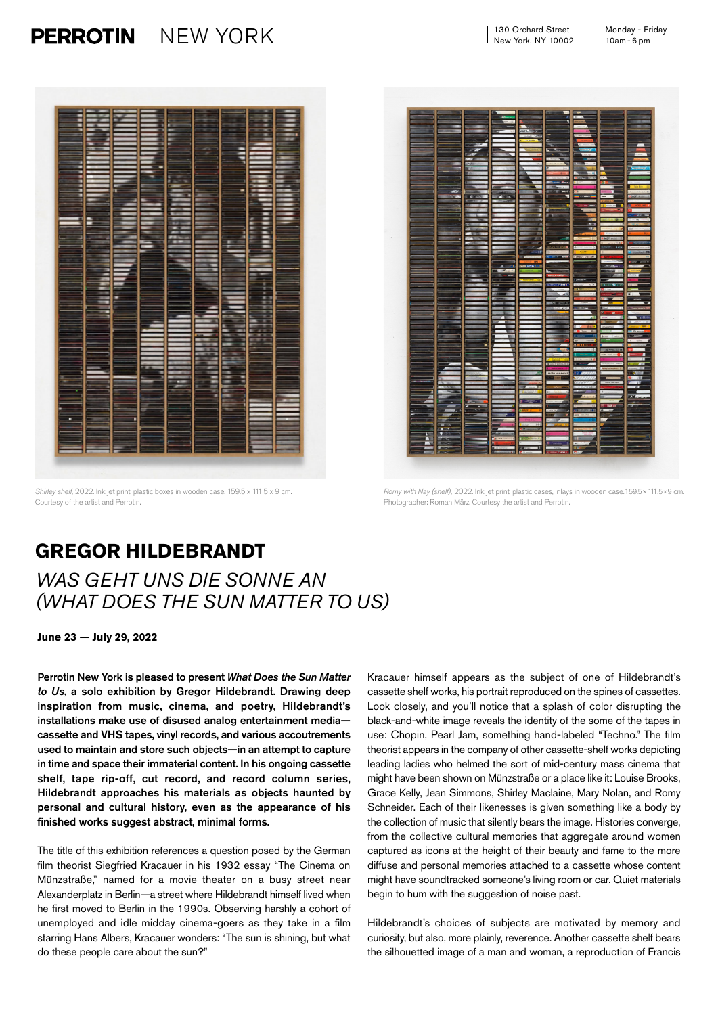## $NEW YORK$  130 Orchard Street Monday - Friday **PERROTIN**





*Shirley shelf,* 2022. Ink jet print, plastic boxes in wooden case. 159.5 x 111.5 x 9 cm. Courtesy of the artist and Perrotin.

*Romy with Nay (shelf),* 2022. Ink jet print, plastic cases, inlays in wooden case.159.5×111.5×9 cm. Photographer: Roman März. Courtesy the artist and Perrotin.

## **GREGOR HILDEBRANDT**

## *WAS GEHT UNS DIE SONNE AN (WHAT DOES THE SUN MATTER TO US)*

**June 23** — **July 29, 2022**

Perrotin New York is pleased to present *What Does the Sun Matter to Us*, a solo exhibition by Gregor Hildebrandt. Drawing deep inspiration from music, cinema, and poetry, Hildebrandt's installations make use of disused analog entertainment media cassette and VHS tapes, vinyl records, and various accoutrements used to maintain and store such objects—in an attempt to capture in time and space their immaterial content. In his ongoing cassette shelf, tape rip-off, cut record, and record column series, Hildebrandt approaches his materials as objects haunted by personal and cultural history, even as the appearance of his finished works suggest abstract, minimal forms.

The title of this exhibition references a question posed by the German film theorist Siegfried Kracauer in his 1932 essay "The Cinema on Münzstraße," named for a movie theater on a busy street near Alexanderplatz in Berlin—a street where Hildebrandt himself lived when he first moved to Berlin in the 1990s. Observing harshly a cohort of unemployed and idle midday cinema-goers as they take in a film starring Hans Albers, Kracauer wonders: "The sun is shining, but what do these people care about the sun?"

Kracauer himself appears as the subject of one of Hildebrandt's cassette shelf works, his portrait reproduced on the spines of cassettes. Look closely, and you'll notice that a splash of color disrupting the black-and-white image reveals the identity of the some of the tapes in use: Chopin, Pearl Jam, something hand-labeled "Techno." The film theorist appears in the company of other cassette-shelf works depicting leading ladies who helmed the sort of mid-century mass cinema that might have been shown on Münzstraße or a place like it: Louise Brooks, Grace Kelly, Jean Simmons, Shirley Maclaine, Mary Nolan, and Romy Schneider. Each of their likenesses is given something like a body by the collection of music that silently bears the image. Histories converge, from the collective cultural memories that aggregate around women captured as icons at the height of their beauty and fame to the more diffuse and personal memories attached to a cassette whose content might have soundtracked someone's living room or car. Quiet materials begin to hum with the suggestion of noise past.

Hildebrandt's choices of subjects are motivated by memory and curiosity, but also, more plainly, reverence. Another cassette shelf bears the silhouetted image of a man and woman, a reproduction of Francis